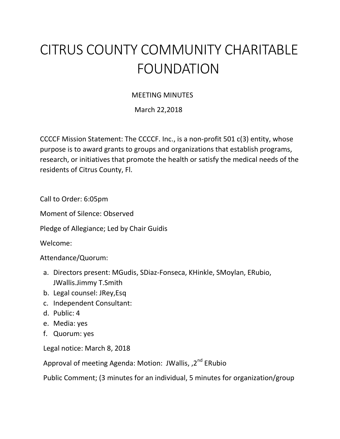## CITRUS COUNTY COMMUNITY CHARITABLE FOUNDATION

## MEETING MINUTES

March 22,2018

CCCCF Mission Statement: The CCCCF. Inc., is a non-profit 501 c(3) entity, whose purpose is to award grants to groups and organizations that establish programs, research, or initiatives that promote the health or satisfy the medical needs of the residents of Citrus County, Fl.

Call to Order: 6:05pm

Moment of Silence: Observed

Pledge of Allegiance; Led by Chair Guidis

Welcome:

Attendance/Quorum:

- a. Directors present: MGudis, SDiaz-Fonseca, KHinkle, SMoylan, ERubio, JWallis.Jimmy T.Smith
- b. Legal counsel: JRey,Esq
- c. Independent Consultant:
- d. Public: 4
- e. Media: yes
- f. Quorum: yes

Legal notice: March 8, 2018

Approval of meeting Agenda: Motion: JWallis, ,2<sup>nd</sup> ERubio

Public Comment; (3 minutes for an individual, 5 minutes for organization/group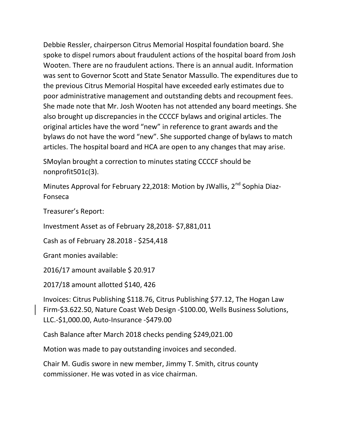Debbie Ressler, chairperson Citrus Memorial Hospital foundation board. She spoke to dispel rumors about fraudulent actions of the hospital board from Josh Wooten. There are no fraudulent actions. There is an annual audit. Information was sent to Governor Scott and State Senator Massullo. The expenditures due to the previous Citrus Memorial Hospital have exceeded early estimates due to poor administrative management and outstanding debts and recoupment fees. She made note that Mr. Josh Wooten has not attended any board meetings. She also brought up discrepancies in the CCCCF bylaws and original articles. The original articles have the word "new" in reference to grant awards and the bylaws do not have the word "new". She supported change of bylaws to match articles. The hospital board and HCA are open to any changes that may arise.

SMoylan brought a correction to minutes stating CCCCF should be nonprofit501c(3).

Minutes Approval for February 22,2018: Motion by JWallis,  $2^{nd}$  Sophia Diaz-Fonseca

Treasurer's Report:

Investment Asset as of February 28,2018- \$7,881,011

Cash as of February 28.2018 - \$254,418

Grant monies available:

2016/17 amount available \$ 20.917

2017/18 amount allotted \$140, 426

Invoices: Citrus Publishing \$118.76, Citrus Publishing \$77.12, The Hogan Law Firm-\$3.622.50, Nature Coast Web Design -\$100.00, Wells Business Solutions, LLC.-\$1,000.00, Auto-Insurance -\$479.00

Cash Balance after March 2018 checks pending \$249,021.00

Motion was made to pay outstanding invoices and seconded.

Chair M. Gudis swore in new member, Jimmy T. Smith, citrus county commissioner. He was voted in as vice chairman.